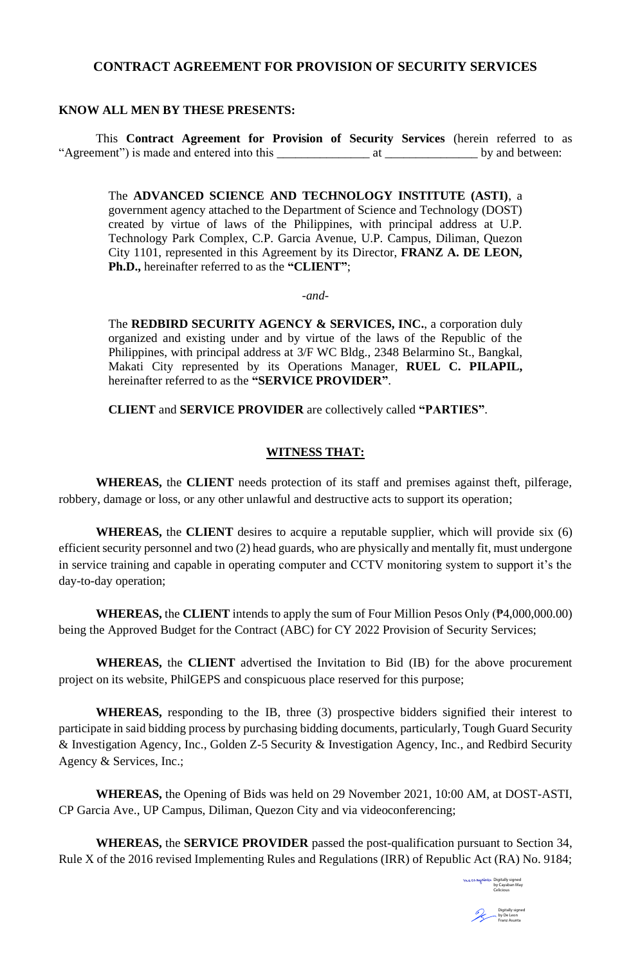## **CONTRACT AGREEMENT FOR PROVISION OF SECURITY SERVICES**

#### **KNOW ALL MEN BY THESE PRESENTS:**

This **Contract Agreement for Provision of Security Services** (herein referred to as "Agreement") is made and entered into this \_\_\_\_\_\_\_\_\_\_\_\_\_\_\_ at \_\_\_\_\_\_\_\_\_\_\_\_\_\_\_ by and between:

The **ADVANCED SCIENCE AND TECHNOLOGY INSTITUTE (ASTI)**, a government agency attached to the Department of Science and Technology (DOST) created by virtue of laws of the Philippines, with principal address at U.P. Technology Park Complex, C.P. Garcia Avenue, U.P. Campus, Diliman, Quezon City 1101, represented in this Agreement by its Director, **FRANZ A. DE LEON, Ph.D.,** hereinafter referred to as the **"CLIENT"**;

*-and-*

The **REDBIRD SECURITY AGENCY & SERVICES, INC.**, a corporation duly organized and existing under and by virtue of the laws of the Republic of the Philippines, with principal address at 3/F WC Bldg., 2348 Belarmino St., Bangkal, Makati City represented by its Operations Manager, **RUEL C. PILAPIL,**  hereinafter referred to as the **"SERVICE PROVIDER"**.

**CLIENT** and **SERVICE PROVIDER** are collectively called **"PARTIES"**.

#### **WITNESS THAT:**

**WHEREAS,** the **CLIENT** needs protection of its staff and premises against theft, pilferage, robbery, damage or loss, or any other unlawful and destructive acts to support its operation;

**WHEREAS,** the **CLIENT** desires to acquire a reputable supplier, which will provide six (6) efficient security personnel and two  $(2)$  head guards, who are physically and mentally fit, must undergone in service training and capable in operating computer and CCTV monitoring system to support it's the day-to-day operation;

**WHEREAS,** the **CLIENT** intends to apply the sum of Four Million Pesos Only (₱4,000,000.00) being the Approved Budget for the Contract (ABC) for CY 2022 Provision of Security Services;

**WHEREAS,** the **CLIENT** advertised the Invitation to Bid (IB) for the above procurement project on its website, PhilGEPS and conspicuous place reserved for this purpose;

**WHEREAS,** responding to the IB, three (3) prospective bidders signified their interest to participate in said bidding process by purchasing bidding documents, particularly, Tough Guard Security & Investigation Agency, Inc., Golden Z-5 Security & Investigation Agency, Inc., and Redbird Security Agency & Services, Inc.;

**WHEREAS,** the Opening of Bids was held on 29 November 2021, 10:00 AM, at DOST-ASTI, CP Garcia Ave., UP Campus, Diliman, Quezon City and via videoconferencing;

**WHEREAS,** the **SERVICE PROVIDER** passed the post-qualification pursuant to Section 34, Rule X of the 2016 revised Implementing Rules and Regulations (IRR) of Republic Act (RA) No. 9184;

Digitally signed by Cayaban May Celicious Digitally signed by De Leon Franz Asunta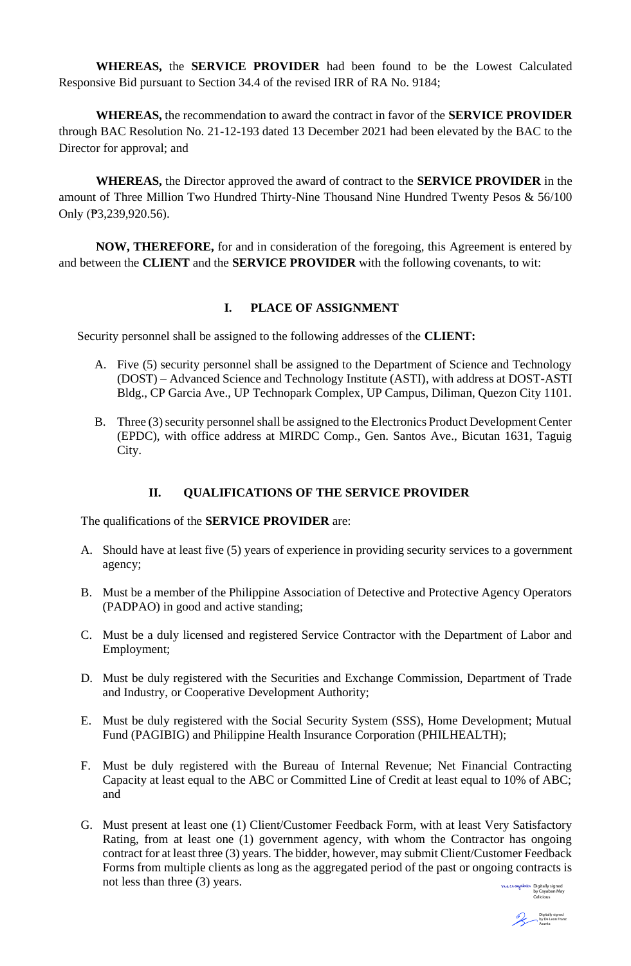**WHEREAS,** the **SERVICE PROVIDER** had been found to be the Lowest Calculated Responsive Bid pursuant to Section 34.4 of the revised IRR of RA No. 9184;

**WHEREAS,** the recommendation to award the contract in favor of the **SERVICE PROVIDER** through BAC Resolution No. 21-12-193 dated 13 December 2021 had been elevated by the BAC to the Director for approval; and

**WHEREAS,** the Director approved the award of contract to the **SERVICE PROVIDER** in the amount of Three Million Two Hundred Thirty-Nine Thousand Nine Hundred Twenty Pesos & 56/100 Only (₱3,239,920.56).

**NOW, THEREFORE,** for and in consideration of the foregoing, this Agreement is entered by and between the **CLIENT** and the **SERVICE PROVIDER** with the following covenants, to wit:

# **I. PLACE OF ASSIGNMENT**

Security personnel shall be assigned to the following addresses of the **CLIENT:** 

- A. Five (5) security personnel shall be assigned to the Department of Science and Technology (DOST) – Advanced Science and Technology Institute (ASTI), with address at DOST-ASTI Bldg., CP Garcia Ave., UP Technopark Complex, UP Campus, Diliman, Quezon City 1101.
- B. Three (3) security personnel shall be assigned to the Electronics Product Development Center (EPDC), with office address at MIRDC Comp., Gen. Santos Ave., Bicutan 1631, Taguig City.

# **II. QUALIFICATIONS OF THE SERVICE PROVIDER**

The qualifications of the **SERVICE PROVIDER** are:

- A. Should have at least five (5) years of experience in providing security services to a government agency;
- B. Must be a member of the Philippine Association of Detective and Protective Agency Operators (PADPAO) in good and active standing;
- C. Must be a duly licensed and registered Service Contractor with the Department of Labor and Employment;
- D. Must be duly registered with the Securities and Exchange Commission, Department of Trade and Industry, or Cooperative Development Authority;
- E. Must be duly registered with the Social Security System (SSS), Home Development; Mutual Fund (PAGIBIG) and Philippine Health Insurance Corporation (PHILHEALTH);
- F. Must be duly registered with the Bureau of Internal Revenue; Net Financial Contracting Capacity at least equal to the ABC or Committed Line of Credit at least equal to 10% of ABC; and
- G. Must present at least one (1) Client/Customer Feedback Form, with at least Very Satisfactory Rating, from at least one (1) government agency, with whom the Contractor has ongoing contract for at least three (3) years. The bidder, however, may submit Client/Customer Feedback Forms from multiple clients as long as the aggregated period of the past or ongoing contracts is not less than three  $(3)$  years.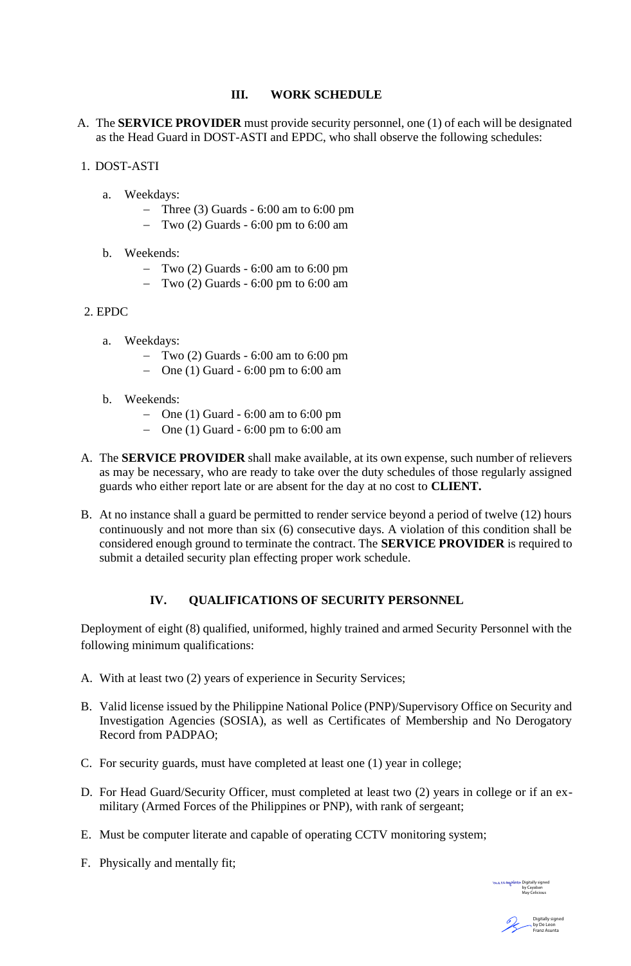#### **III. WORK SCHEDULE**

A. The **SERVICE PROVIDER** must provide security personnel, one (1) of each will be designated as the Head Guard in DOST-ASTI and EPDC, who shall observe the following schedules:

## 1. DOST-ASTI

- a. Weekdays:
	- − Three (3) Guards 6:00 am to 6:00 pm
	- − Two (2) Guards 6:00 pm to 6:00 am
- b. Weekends:
	- − Two (2) Guards 6:00 am to 6:00 pm
	- − Two (2) Guards 6:00 pm to 6:00 am

## 2. EPDC

- a. Weekdays:
	- − Two (2) Guards 6:00 am to 6:00 pm
	- − One (1) Guard 6:00 pm to 6:00 am
- b. Weekends:
	- − One (1) Guard 6:00 am to 6:00 pm
	- − One (1) Guard 6:00 pm to 6:00 am
- A. The **SERVICE PROVIDER** shall make available, at its own expense, such number of relievers as may be necessary, who are ready to take over the duty schedules of those regularly assigned guards who either report late or are absent for the day at no cost to **CLIENT.**
- B. At no instance shall a guard be permitted to render service beyond a period of twelve (12) hours continuously and not more than six (6) consecutive days. A violation of this condition shall be considered enough ground to terminate the contract. The **SERVICE PROVIDER** is required to submit a detailed security plan effecting proper work schedule.

# **IV. QUALIFICATIONS OF SECURITY PERSONNEL**

Deployment of eight (8) qualified, uniformed, highly trained and armed Security Personnel with the following minimum qualifications:

- A. With at least two (2) years of experience in Security Services;
- B. Valid license issued by the Philippine National Police (PNP)/Supervisory Office on Security and Investigation Agencies (SOSIA), as well as Certificates of Membership and No Derogatory Record from PADPAO;
- C. For security guards, must have completed at least one (1) year in college;
- D. For Head Guard/Security Officer, must completed at least two (2) years in college or if an exmilitary (Armed Forces of the Philippines or PNP), with rank of sergeant;
- E. Must be computer literate and capable of operating CCTV monitoring system;
- F. Physically and mentally fit;

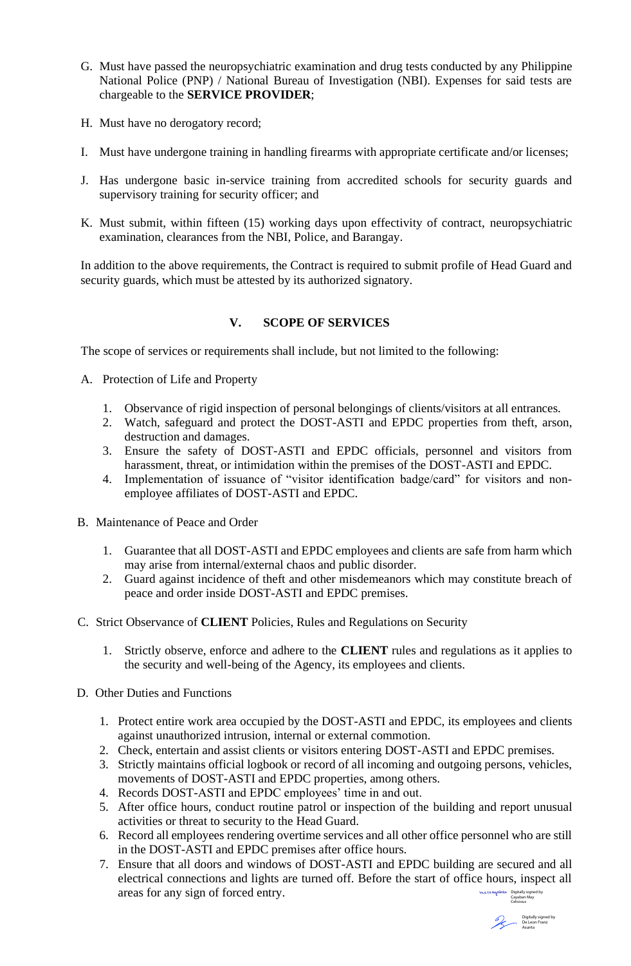- G. Must have passed the neuropsychiatric examination and drug tests conducted by any Philippine National Police (PNP) / National Bureau of Investigation (NBI). Expenses for said tests are chargeable to the **SERVICE PROVIDER**;
- H. Must have no derogatory record;
- I. Must have undergone training in handling firearms with appropriate certificate and/or licenses;
- J. Has undergone basic in-service training from accredited schools for security guards and supervisory training for security officer; and
- K. Must submit, within fifteen (15) working days upon effectivity of contract, neuropsychiatric examination, clearances from the NBI, Police, and Barangay.

In addition to the above requirements, the Contract is required to submit profile of Head Guard and security guards, which must be attested by its authorized signatory.

# **V. SCOPE OF SERVICES**

The scope of services or requirements shall include, but not limited to the following:

- A. Protection of Life and Property
	- 1. Observance of rigid inspection of personal belongings of clients/visitors at all entrances.
	- 2. Watch, safeguard and protect the DOST-ASTI and EPDC properties from theft, arson, destruction and damages.
	- 3. Ensure the safety of DOST-ASTI and EPDC officials, personnel and visitors from harassment, threat, or intimidation within the premises of the DOST-ASTI and EPDC.
	- 4. Implementation of issuance of "visitor identification badge/card" for visitors and nonemployee affiliates of DOST-ASTI and EPDC.
- B. Maintenance of Peace and Order
	- 1. Guarantee that all DOST-ASTI and EPDC employees and clients are safe from harm which may arise from internal/external chaos and public disorder.
	- 2. Guard against incidence of theft and other misdemeanors which may constitute breach of peace and order inside DOST-ASTI and EPDC premises.
- C. Strict Observance of **CLIENT** Policies, Rules and Regulations on Security
	- 1. Strictly observe, enforce and adhere to the **CLIENT** rules and regulations as it applies to the security and well-being of the Agency, its employees and clients.
- D. Other Duties and Functions
	- 1. Protect entire work area occupied by the DOST-ASTI and EPDC, its employees and clients against unauthorized intrusion, internal or external commotion.
	- 2. Check, entertain and assist clients or visitors entering DOST-ASTI and EPDC premises.
	- 3. Strictly maintains official logbook or record of all incoming and outgoing persons, vehicles, movements of DOST-ASTI and EPDC properties, among others.
	- 4. Records DOST-ASTI and EPDC employees' time in and out.
	- 5. After office hours, conduct routine patrol or inspection of the building and report unusual activities or threat to security to the Head Guard.
	- 6. Record all employees rendering overtime services and all other office personnel who are still in the DOST-ASTI and EPDC premises after office hours.
	- 7. Ensure that all doors and windows of DOST-ASTI and EPDC building are secured and all electrical connections and lights are turned off. Before the start of office hours, inspect all areas for any sign of forced entry. Digitally signed by Cayaban May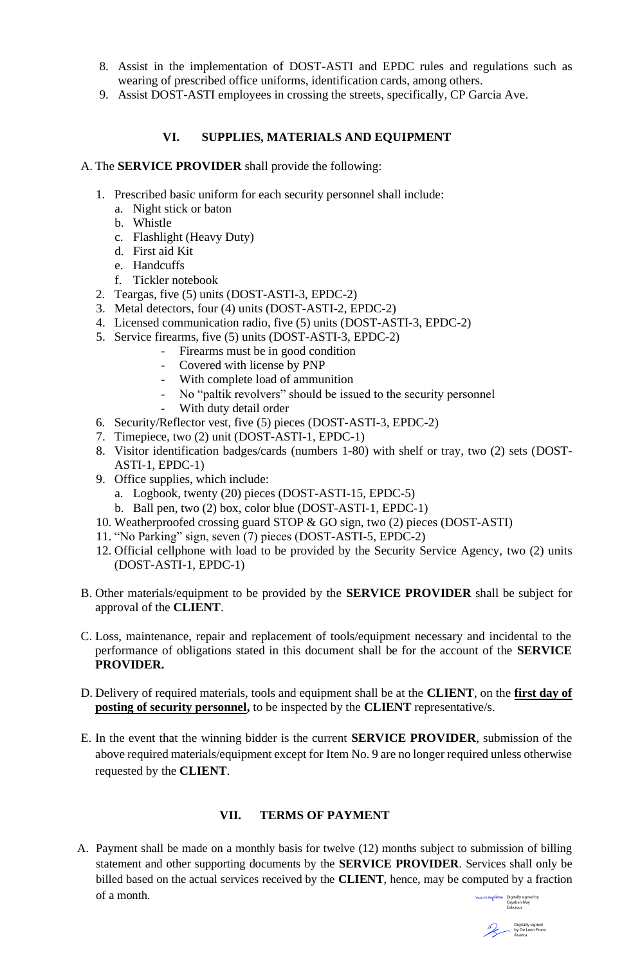- 8. Assist in the implementation of DOST-ASTI and EPDC rules and regulations such as wearing of prescribed office uniforms, identification cards, among others.
- 9. Assist DOST-ASTI employees in crossing the streets, specifically, CP Garcia Ave.

## **VI. SUPPLIES, MATERIALS AND EQUIPMENT**

A. The **SERVICE PROVIDER** shall provide the following:

- 1. Prescribed basic uniform for each security personnel shall include:
	- a. Night stick or baton
	- b. Whistle
	- c. Flashlight (Heavy Duty)
	- d. First aid Kit
	- e. Handcuffs
	- f. Tickler notebook
- 2. Teargas, five (5) units (DOST-ASTI-3, EPDC-2)
- 3. Metal detectors, four (4) units (DOST-ASTI-2, EPDC-2)
- 4. Licensed communication radio, five (5) units (DOST-ASTI-3, EPDC-2)
- 5. Service firearms, five (5) units (DOST-ASTI-3, EPDC-2)
	- Firearms must be in good condition
	- Covered with license by PNP
	- With complete load of ammunition
	- No "paltik revolvers" should be issued to the security personnel
	- With duty detail order
- 6. Security/Reflector vest, five (5) pieces (DOST-ASTI-3, EPDC-2)
- 7. Timepiece, two (2) unit (DOST-ASTI-1, EPDC-1)
- 8. Visitor identification badges/cards (numbers 1-80) with shelf or tray, two (2) sets (DOST-ASTI-1, EPDC-1)
- 9. Office supplies, which include:
	- a. Logbook, twenty (20) pieces (DOST-ASTI-15, EPDC-5)
	- b. Ball pen, two (2) box, color blue (DOST-ASTI-1, EPDC-1)
- 10. Weatherproofed crossing guard STOP & GO sign, two (2) pieces (DOST-ASTI)
- 11. "No Parking" sign, seven (7) pieces (DOST-ASTI-5, EPDC-2)
- 12. Official cellphone with load to be provided by the Security Service Agency, two (2) units (DOST-ASTI-1, EPDC-1)
- B. Other materials/equipment to be provided by the **SERVICE PROVIDER** shall be subject for approval of the **CLIENT**.
- C. Loss, maintenance, repair and replacement of tools/equipment necessary and incidental to the performance of obligations stated in this document shall be for the account of the **SERVICE PROVIDER.**
- D. Delivery of required materials, tools and equipment shall be at the **CLIENT**, on the **first day of posting of security personnel,** to be inspected by the **CLIENT** representative/s.
- E. In the event that the winning bidder is the current **SERVICE PROVIDER**, submission of the above required materials/equipment except for Item No. 9 are no longer required unless otherwise requested by the **CLIENT**.

# **VII. TERMS OF PAYMENT**

A. Payment shall be made on a monthly basis for twelve (12) months subject to submission of billing statement and other supporting documents by the **SERVICE PROVIDER**. Services shall only be billed based on the actual services received by the **CLIENT**, hence, may be computed by a fraction of a month.

Cayaban May Celicious Digitally signed by De Leon Franz Asunta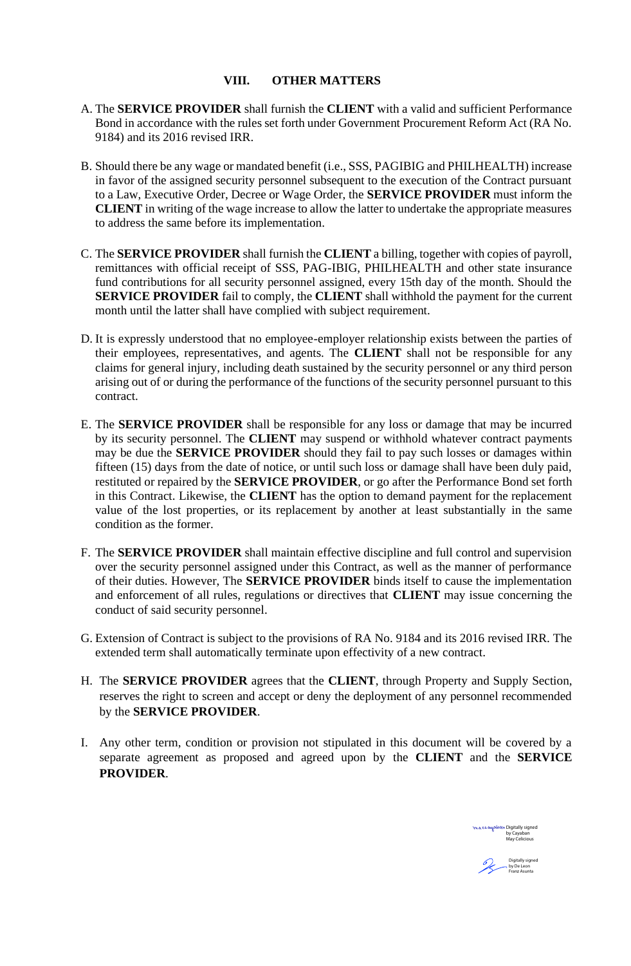#### **VIII. OTHER MATTERS**

- A. The **SERVICE PROVIDER** shall furnish the **CLIENT** with a valid and sufficient Performance Bond in accordance with the rules set forth under Government Procurement Reform Act (RA No. 9184) and its 2016 revised IRR.
- B. Should there be any wage or mandated benefit (i.e., SSS, PAGIBIG and PHILHEALTH) increase in favor of the assigned security personnel subsequent to the execution of the Contract pursuant to a Law, Executive Order, Decree or Wage Order, the **SERVICE PROVIDER** must inform the **CLIENT** in writing of the wage increase to allow the latter to undertake the appropriate measures to address the same before its implementation.
- C. The **SERVICE PROVIDER** shall furnish the **CLIENT** a billing, together with copies of payroll, remittances with official receipt of SSS, PAG-IBIG, PHILHEALTH and other state insurance fund contributions for all security personnel assigned, every 15th day of the month. Should the **SERVICE PROVIDER** fail to comply, the **CLIENT** shall withhold the payment for the current month until the latter shall have complied with subject requirement.
- D. It is expressly understood that no employee-employer relationship exists between the parties of their employees, representatives, and agents. The **CLIENT** shall not be responsible for any claims for general injury, including death sustained by the security personnel or any third person arising out of or during the performance of the functions of the security personnel pursuant to this contract.
- E. The **SERVICE PROVIDER** shall be responsible for any loss or damage that may be incurred by its security personnel. The **CLIENT** may suspend or withhold whatever contract payments may be due the **SERVICE PROVIDER** should they fail to pay such losses or damages within fifteen (15) days from the date of notice, or until such loss or damage shall have been duly paid, restituted or repaired by the **SERVICE PROVIDER**, or go after the Performance Bond set forth in this Contract. Likewise, the **CLIENT** has the option to demand payment for the replacement value of the lost properties, or its replacement by another at least substantially in the same condition as the former.
- F. The **SERVICE PROVIDER** shall maintain effective discipline and full control and supervision over the security personnel assigned under this Contract, as well as the manner of performance of their duties. However, The **SERVICE PROVIDER** binds itself to cause the implementation and enforcement of all rules, regulations or directives that **CLIENT** may issue concerning the conduct of said security personnel.
- G. Extension of Contract is subject to the provisions of RA No. 9184 and its 2016 revised IRR. The extended term shall automatically terminate upon effectivity of a new contract.
- H. The **SERVICE PROVIDER** agrees that the **CLIENT**, through Property and Supply Section, reserves the right to screen and accept or deny the deployment of any personnel recommended by the **SERVICE PROVIDER**.
- I. Any other term, condition or provision not stipulated in this document will be covered by a separate agreement as proposed and agreed upon by the **CLIENT** and the **SERVICE PROVIDER**.



Franz Asunta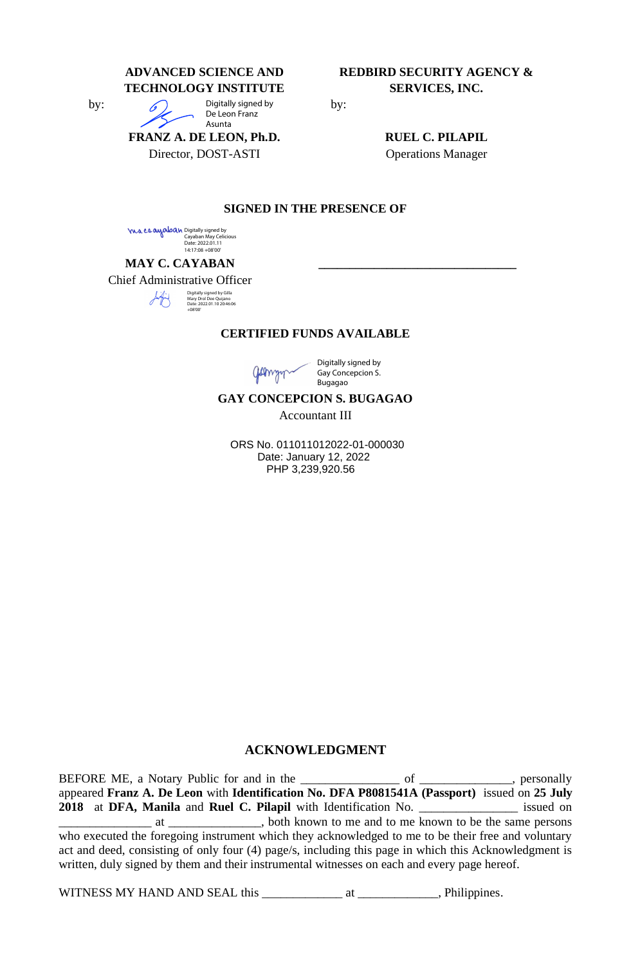**ADVANCED SCIENCE AND TECHNOLOGY INSTITUTE**

> Digitally signed by De Leon Franz Asunta

**FRANZ A. DE LEON, Ph.D.** Director, DOST-ASTI

**REDBIRD SECURITY AGENCY & SERVICES, INC.**

by:

**RUEL C. PILAPIL** Operations Manager

 **\_\_\_\_\_\_\_\_\_\_\_\_\_\_\_\_\_\_\_\_\_\_\_\_\_\_\_\_\_\_\_\_**

#### **SIGNED IN THE PRESENCE OF**

Digitally signed by Cayaban May Celicious Date: 2022.01.11 14:17:08 +08'00'

**MAY C. CAYABAN**

Chief Administrative Officer

Digitally signed by Gilla Mary Drol Dee Quijano Date: 2022.01.10 20:46:06 +08'00'

#### **CERTIFIED FUNDS AVAILABLE**

Digitally signed by Gay Concepcion S. Bugagao

# **GAY CONCEPCION S. BUGAGAO**

Accountant III

ORS No. 011011012022-01-000030 Date: January 12, 2022 PHP 3,239,920.56

## **ACKNOWLEDGMENT**

BEFORE ME, a Notary Public for and in the \_\_\_\_\_\_\_\_\_\_\_\_\_\_\_\_\_\_ of \_\_\_\_\_\_\_\_\_\_\_\_\_, personally appeared **Franz A. De Leon** with **Identification No. DFA P8081541A (Passport)** issued on **25 July 2018** at **DFA, Manila** and **Ruel C. Pilapil** with Identification No. \_\_\_\_\_\_\_\_\_\_\_\_\_\_\_\_ issued on \_\_\_\_\_\_\_\_\_\_\_\_\_\_\_ at \_\_\_\_\_\_\_\_\_\_\_\_\_\_\_, both known to me and to me known to be the same persons who executed the foregoing instrument which they acknowledged to me to be their free and voluntary act and deed, consisting of only four (4) page/s, including this page in which this Acknowledgment is written, duly signed by them and their instrumental witnesses on each and every page hereof.

WITNESS MY HAND AND SEAL this \_\_\_\_\_\_\_\_\_\_\_\_\_\_\_\_\_\_\_\_\_\_\_\_\_\_\_\_\_\_\_\_\_\_\_, Philippines.

by: